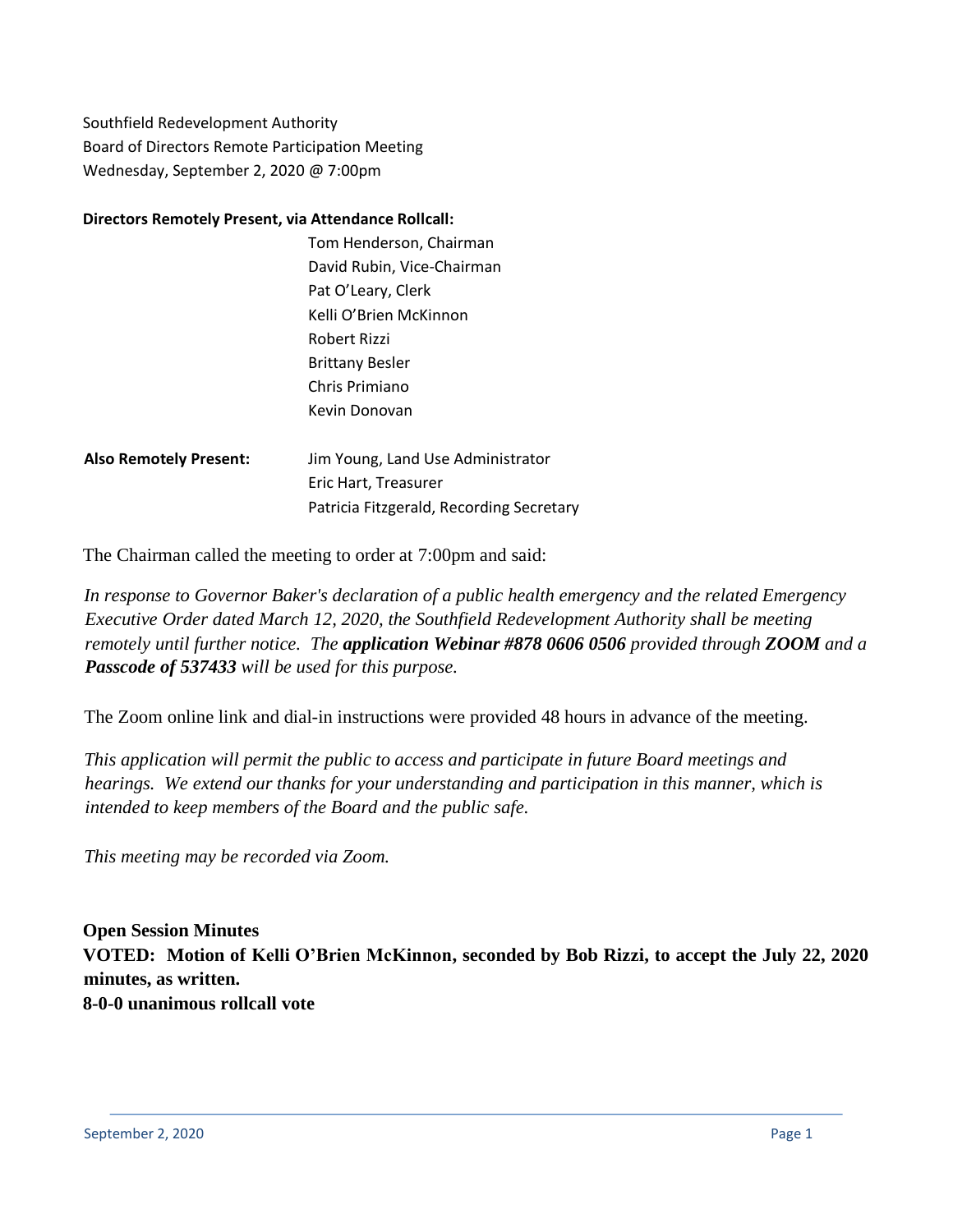Southfield Redevelopment Authority Board of Directors Remote Participation Meeting Wednesday, September 2, 2020 @ 7:00pm

#### **Directors Remotely Present, via Attendance Rollcall:**

|                               | Tom Henderson, Chairman           |
|-------------------------------|-----------------------------------|
|                               | David Rubin, Vice-Chairman        |
|                               | Pat O'Leary, Clerk                |
|                               | Kelli O'Brien McKinnon            |
|                               | Robert Rizzi                      |
|                               | <b>Brittany Besler</b>            |
|                               | Chris Primiano                    |
|                               | Kevin Donovan                     |
|                               |                                   |
| <b>Also Remotely Present:</b> | Jim Young, Land Use Administrator |
|                               | Eric Hart. Treasurer              |

The Chairman called the meeting to order at 7:00pm and said:

*In response to Governor Baker's declaration of a public health emergency and the related Emergency Executive Order dated March 12, 2020, the Southfield Redevelopment Authority shall be meeting remotely until further notice. The application Webinar #878 0606 0506 provided through ZOOM and a Passcode of 537433 will be used for this purpose.*

The Zoom online link and dial-in instructions were provided 48 hours in advance of the meeting.

Patricia Fitzgerald, Recording Secretary

*This application will permit the public to access and participate in future Board meetings and hearings. We extend our thanks for your understanding and participation in this manner, which is intended to keep members of the Board and the public safe.*

*This meeting may be recorded via Zoom.*

**Open Session Minutes VOTED: Motion of Kelli O'Brien McKinnon, seconded by Bob Rizzi, to accept the July 22, 2020 minutes, as written. 8-0-0 unanimous rollcall vote**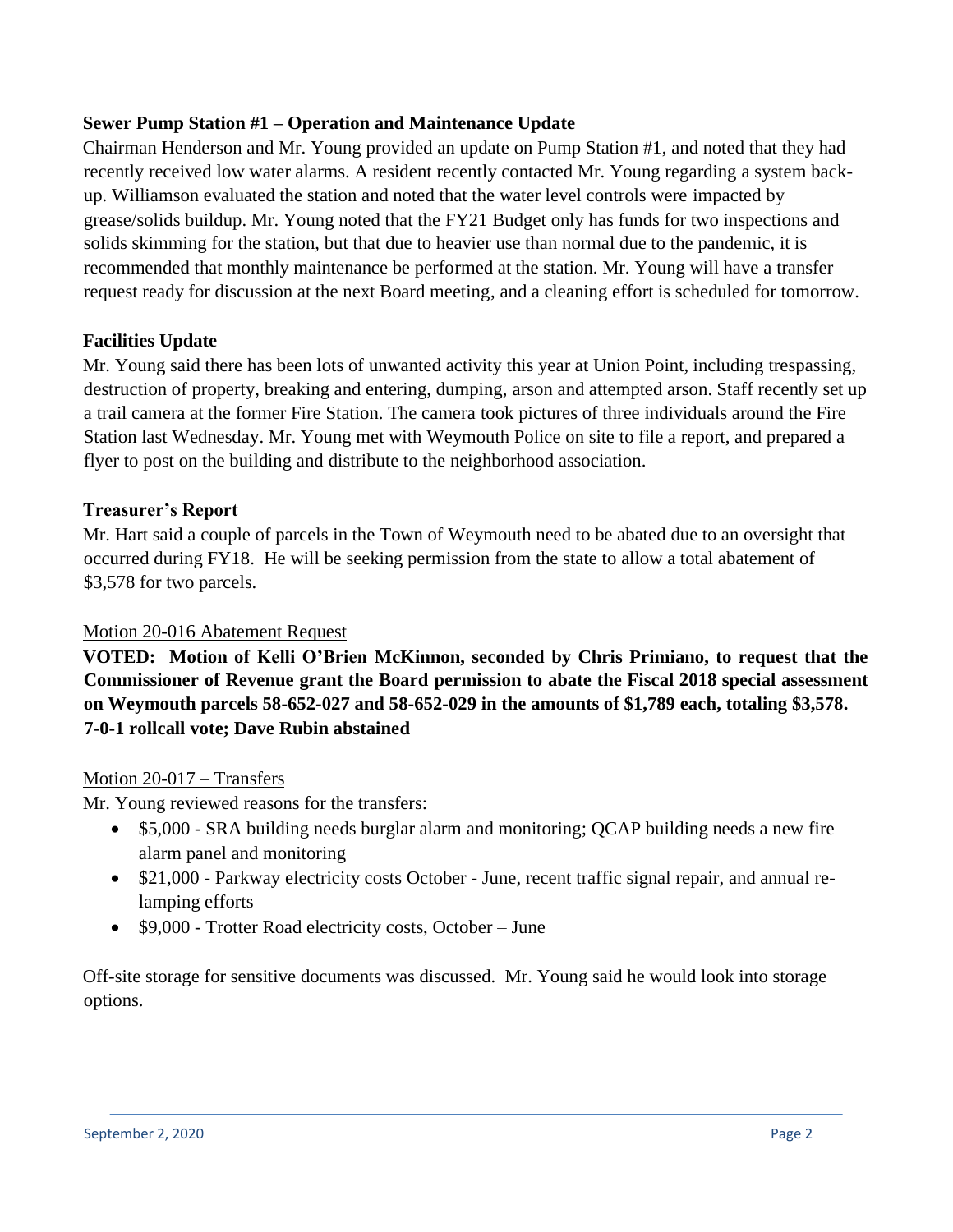## **Sewer Pump Station #1 – Operation and Maintenance Update**

Chairman Henderson and Mr. Young provided an update on Pump Station #1, and noted that they had recently received low water alarms. A resident recently contacted Mr. Young regarding a system backup. Williamson evaluated the station and noted that the water level controls were impacted by grease/solids buildup. Mr. Young noted that the FY21 Budget only has funds for two inspections and solids skimming for the station, but that due to heavier use than normal due to the pandemic, it is recommended that monthly maintenance be performed at the station. Mr. Young will have a transfer request ready for discussion at the next Board meeting, and a cleaning effort is scheduled for tomorrow.

## **Facilities Update**

Mr. Young said there has been lots of unwanted activity this year at Union Point, including trespassing, destruction of property, breaking and entering, dumping, arson and attempted arson. Staff recently set up a trail camera at the former Fire Station. The camera took pictures of three individuals around the Fire Station last Wednesday. Mr. Young met with Weymouth Police on site to file a report, and prepared a flyer to post on the building and distribute to the neighborhood association.

### **Treasurer's Report**

Mr. Hart said a couple of parcels in the Town of Weymouth need to be abated due to an oversight that occurred during FY18. He will be seeking permission from the state to allow a total abatement of \$3,578 for two parcels.

#### Motion 20-016 Abatement Request

**VOTED: Motion of Kelli O'Brien McKinnon, seconded by Chris Primiano, to request that the Commissioner of Revenue grant the Board permission to abate the Fiscal 2018 special assessment on Weymouth parcels 58-652-027 and 58-652-029 in the amounts of \$1,789 each, totaling \$3,578. 7-0-1 rollcall vote; Dave Rubin abstained**

#### Motion 20-017 – Transfers

Mr. Young reviewed reasons for the transfers:

- \$5,000 SRA building needs burglar alarm and monitoring; QCAP building needs a new fire alarm panel and monitoring
- \$21,000 Parkway electricity costs October June, recent traffic signal repair, and annual relamping efforts
- \$9,000 Trotter Road electricity costs, October June

Off-site storage for sensitive documents was discussed. Mr. Young said he would look into storage options.